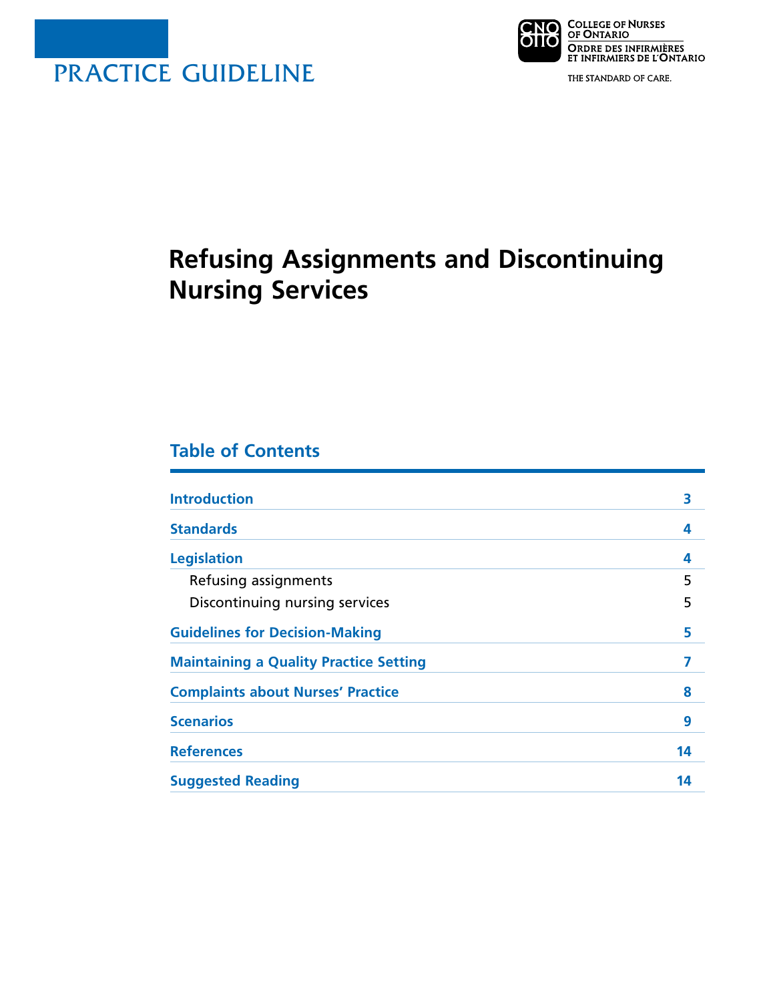



THE STANDARD OF CARE.

# **Refusing Assignments and Discontinuing Nursing Services**

# **Table of Contents**

| <b>Introduction</b>                           | 3  |
|-----------------------------------------------|----|
| <b>Standards</b>                              | 4  |
| <b>Legislation</b>                            | 4  |
| Refusing assignments                          | 5  |
| Discontinuing nursing services                | 5  |
| <b>Guidelines for Decision-Making</b>         | 5  |
| <b>Maintaining a Quality Practice Setting</b> |    |
| <b>Complaints about Nurses' Practice</b>      | 8  |
| <b>Scenarios</b>                              | 9  |
| <b>References</b>                             | 14 |
| <b>Suggested Reading</b>                      | 14 |
|                                               |    |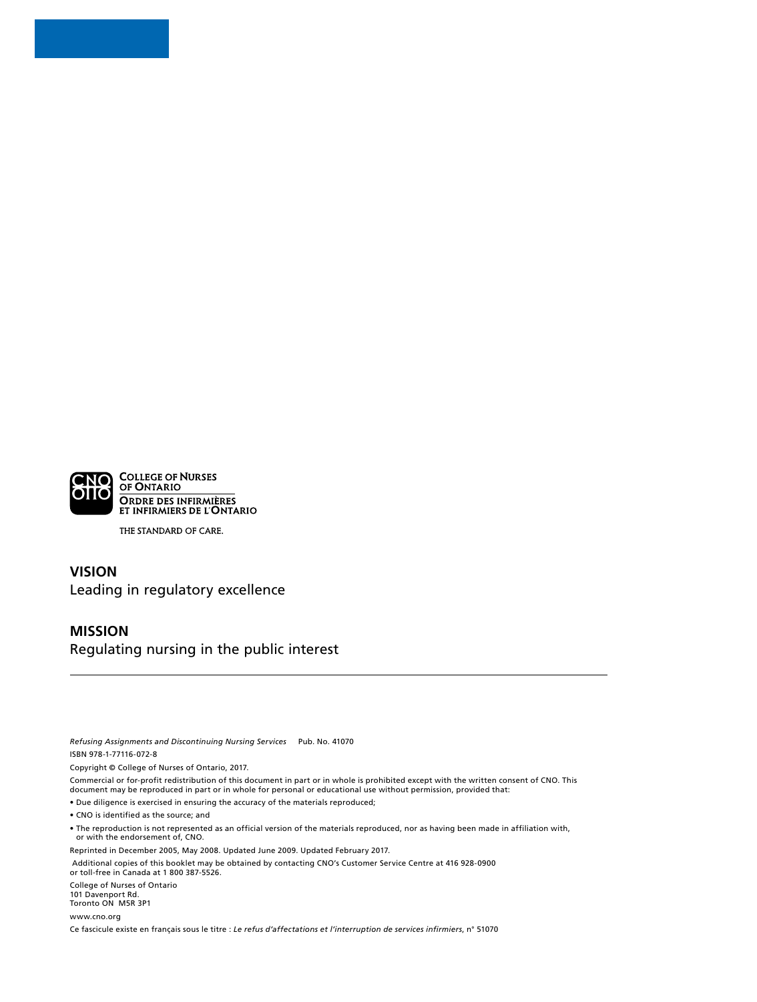

THE STANDARD OF CARE.

# **VISION** Leading in regulatory excellence

#### **MISSION**

Regulating nursing in the public interest

*Refusing Assignments and Discontinuing Nursing Services* Pub. No. 41070 ISBN 978-1-77116-072-8

Copyright © College of Nurses of Ontario, 2017.

Commercial or for-profit redistribution of this document in part or in whole is prohibited except with the written consent of CNO. This document may be reproduced in part or in whole for personal or educational use without permission, provided that:

• Due diligence is exercised in ensuring the accuracy of the materials reproduced;

• CNO is identified as the source; and

• The reproduction is not represented as an official version of the materials reproduced, nor as having been made in affiliation with, or with the endorsement of, CNO.

Reprinted in December 2005, May 2008. Updated June 2009. Updated February 2017.

Additional copies of this booklet may be obtained by contacting CNO's Customer Service Centre at 416 928-0900 or toll-free in Canada at 1 800 387-5526.

College of Nurses of Ontario 101 Davenport Rd. Toronto ON M5R 3P1

[www.cno.org](http://www.cno.org)

Ce fascicule existe en français sous le titre : *Le refus d'affectations et l'interruption de services infirmiers*, n° 51070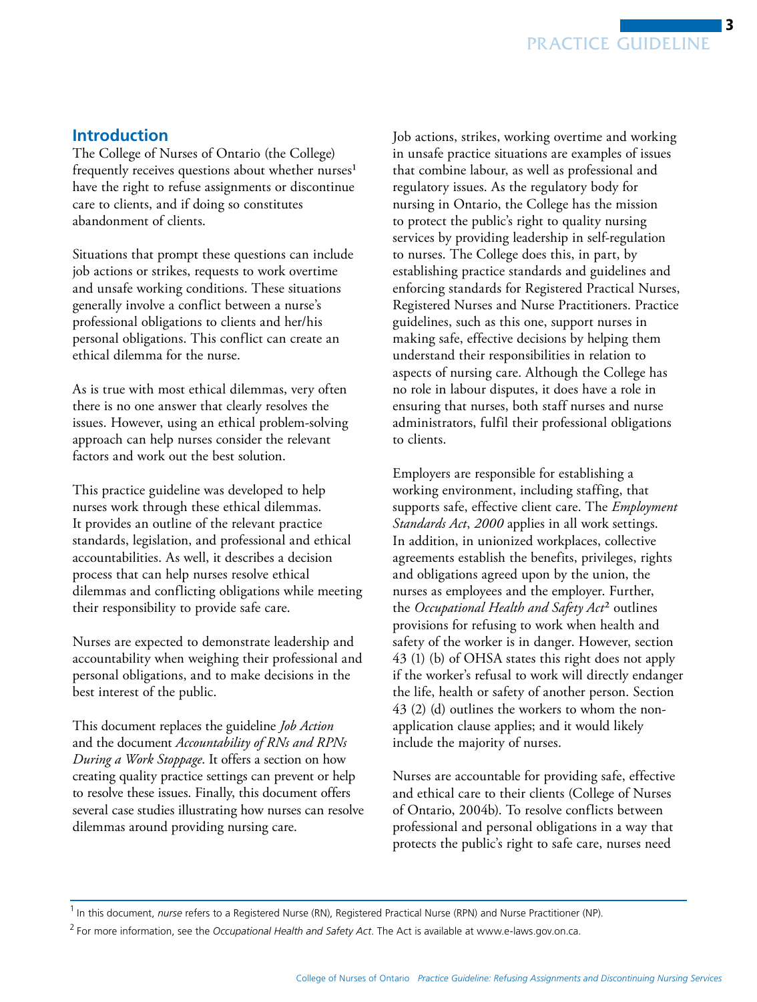# <span id="page-2-0"></span>**Introduction**

The College of Nurses of Ontario (the College) frequently receives questions about whether nurses<sup>1</sup> have the right to refuse assignments or discontinue care to clients, and if doing so constitutes abandonment of clients.

Situations that prompt these questions can include job actions or strikes, requests to work overtime and unsafe working conditions. These situations generally involve a conflict between a nurse's professional obligations to clients and her/his personal obligations. This conflict can create an ethical dilemma for the nurse.

As is true with most ethical dilemmas, very often there is no one answer that clearly resolves the issues. However, using an ethical problem-solving approach can help nurses consider the relevant factors and work out the best solution.

This practice guideline was developed to help nurses work through these ethical dilemmas. It provides an outline of the relevant practice standards, legislation, and professional and ethical accountabilities. As well, it describes a decision process that can help nurses resolve ethical dilemmas and conflicting obligations while meeting their responsibility to provide safe care.

Nurses are expected to demonstrate leadership and accountability when weighing their professional and personal obligations, and to make decisions in the best interest of the public.

This document replaces the guideline *Job Action*  and the document *Accountability of RNs and RPNs During a Work Stoppage*. It offers a section on how creating quality practice settings can prevent or help to resolve these issues. Finally, this document offers several case studies illustrating how nurses can resolve dilemmas around providing nursing care.

Job actions, strikes, working overtime and working in unsafe practice situations are examples of issues that combine labour, as well as professional and regulatory issues. As the regulatory body for nursing in Ontario, the College has the mission to protect the public's right to quality nursing services by providing leadership in self-regulation to nurses. The College does this, in part, by establishing practice standards and guidelines and enforcing standards for Registered Practical Nurses, Registered Nurses and Nurse Practitioners. Practice guidelines, such as this one, support nurses in making safe, effective decisions by helping them understand their responsibilities in relation to aspects of nursing care. Although the College has no role in labour disputes, it does have a role in ensuring that nurses, both staff nurses and nurse administrators, fulfil their professional obligations to clients.

Employers are responsible for establishing a working environment, including staffing, that supports safe, effective client care. The *Employment Standards Act*, *2000* applies in all work settings. In addition, in unionized workplaces, collective agreements establish the benefits, privileges, rights and obligations agreed upon by the union, the nurses as employees and the employer. Further, the *Occupational Health and Safety Act*2 outlines provisions for refusing to work when health and safety of the worker is in danger. However, section 43 (1) (b) of OHSA states this right does not apply if the worker's refusal to work will directly endanger the life, health or safety of another person. Section 43 (2) (d) outlines the workers to whom the nonapplication clause applies; and it would likely include the majority of nurses.

Nurses are accountable for providing safe, effective and ethical care to their clients (College of Nurses of Ontario, 2004b). To resolve conflicts between professional and personal obligations in a way that protects the public's right to safe care, nurses need

<sup>&</sup>lt;sup>1</sup> In this document, *nurse* refers to a Registered Nurse (RN), Registered Practical Nurse (RPN) and Nurse Practitioner (NP).

<sup>2</sup> For more information, see the *Occupational Health and Safety Act*. The Act is available at www.e-laws.gov.on.ca.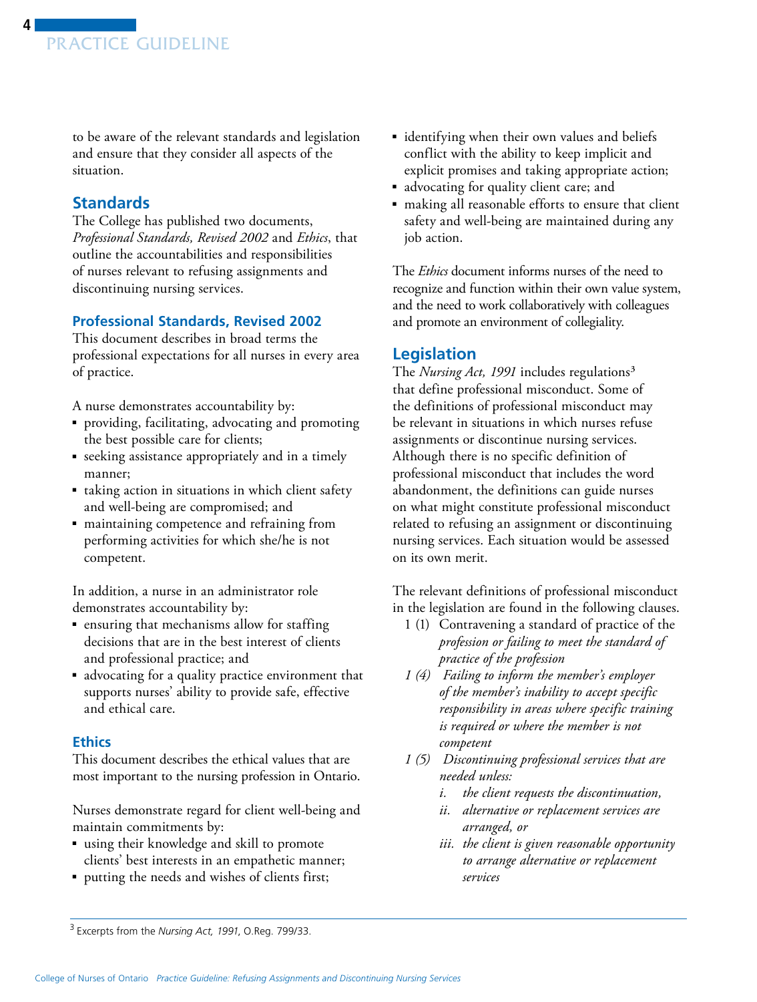<span id="page-3-0"></span>to be aware of the relevant standards and legislation and ensure that they consider all aspects of the situation.

# **Standards**

The College has published two documents, *Professional Standards, Revised 2002* and *Ethics*, that outline the accountabilities and responsibilities of nurses relevant to refusing assignments and discontinuing nursing services.

# **Professional Standards, Revised 2002**

This document describes in broad terms the professional expectations for all nurses in every area of practice.

A nurse demonstrates accountability by:

- providing, facilitating, advocating and promoting the best possible care for clients;
- seeking assistance appropriately and in a timely manner;
- taking action in situations in which client safety and well-being are compromised; and
- maintaining competence and refraining from performing activities for which she/he is not competent.

In addition, a nurse in an administrator role demonstrates accountability by:

- ensuring that mechanisms allow for staffing decisions that are in the best interest of clients and professional practice; and
- advocating for a quality practice environment that supports nurses' ability to provide safe, effective and ethical care.

## **Ethics**

This document describes the ethical values that are most important to the nursing profession in Ontario.

Nurses demonstrate regard for client well-being and maintain commitments by:

- using their knowledge and skill to promote clients' best interests in an empathetic manner;
- putting the needs and wishes of clients first;
- identifying when their own values and beliefs conflict with the ability to keep implicit and explicit promises and taking appropriate action;
- advocating for quality client care; and
- making all reasonable efforts to ensure that client safety and well-being are maintained during any job action.

The *Ethics* document informs nurses of the need to recognize and function within their own value system, and the need to work collaboratively with colleagues and promote an environment of collegiality.

# **Legislation**

The *Nursing Act, 1991* includes regulations3 that define professional misconduct. Some of the definitions of professional misconduct may be relevant in situations in which nurses refuse assignments or discontinue nursing services. Although there is no specific definition of professional misconduct that includes the word abandonment, the definitions can guide nurses on what might constitute professional misconduct related to refusing an assignment or discontinuing nursing services. Each situation would be assessed on its own merit.

The relevant definitions of professional misconduct in the legislation are found in the following clauses.

- 1 (1) Contravening a standard of practice of the *profession or failing to meet the standard of practice of the profession*
- *1 (4) Failing to inform the member's employer of the member's inability to accept specific responsibility in areas where specific training is required or where the member is not competent*
- *1 (5) Discontinuing professional services that are needed unless:* 
	- *i. the client requests the discontinuation,*
	- *ii. alternative or replacement services are arranged, or*
	- *iii. the client is given reasonable opportunity to arrange alternative or replacement services*

<sup>3</sup> Excerpts from the *Nursing Act, 1991*, O.Reg. 799/33.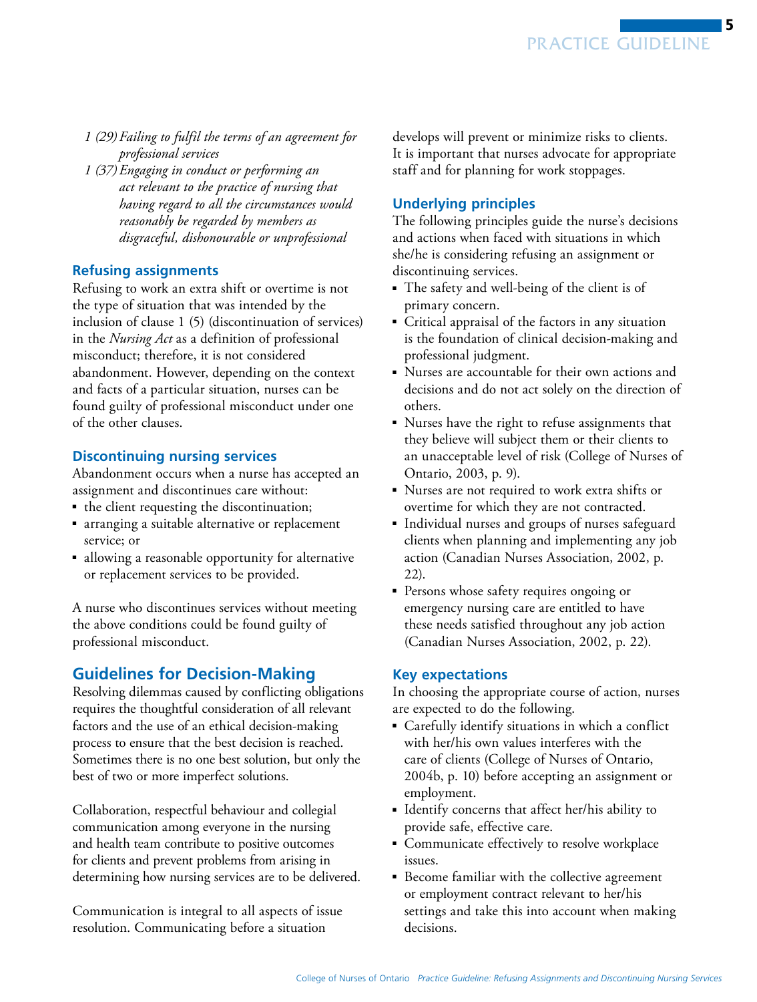- <span id="page-4-0"></span>*1 (29) Failing to fulfil the terms of an agreement for professional services*
- *1 (37) Engaging in conduct or performing an act relevant to the practice of nursing that having regard to all the circumstances would reasonably be regarded by members as disgraceful, dishonourable or unprofessional*

#### **Refusing assignments**

Refusing to work an extra shift or overtime is not the type of situation that was intended by the inclusion of clause 1 (5) (discontinuation of services) in the *Nursing Act* as a definition of professional misconduct; therefore, it is not considered abandonment. However, depending on the context and facts of a particular situation, nurses can be found guilty of professional misconduct under one of the other clauses.

## **Discontinuing nursing services**

Abandonment occurs when a nurse has accepted an assignment and discontinues care without:

- the client requesting the discontinuation;
- arranging a suitable alternative or replacement service; or
- allowing a reasonable opportunity for alternative or replacement services to be provided.

A nurse who discontinues services without meeting the above conditions could be found guilty of professional misconduct.

# **Guidelines for Decision-Making**

Resolving dilemmas caused by conflicting obligations requires the thoughtful consideration of all relevant factors and the use of an ethical decision-making process to ensure that the best decision is reached. Sometimes there is no one best solution, but only the best of two or more imperfect solutions.

Collaboration, respectful behaviour and collegial communication among everyone in the nursing and health team contribute to positive outcomes for clients and prevent problems from arising in determining how nursing services are to be delivered.

Communication is integral to all aspects of issue resolution. Communicating before a situation

develops will prevent or minimize risks to clients. It is important that nurses advocate for appropriate staff and for planning for work stoppages.

# **Underlying principles**

The following principles guide the nurse's decisions and actions when faced with situations in which she/he is considering refusing an assignment or discontinuing services.

- The safety and well-being of the client is of primary concern.
- Critical appraisal of the factors in any situation is the foundation of clinical decision-making and professional judgment.
- Nurses are accountable for their own actions and decisions and do not act solely on the direction of others.
- Nurses have the right to refuse assignments that they believe will subject them or their clients to an unacceptable level of risk (College of Nurses of Ontario, 2003, p. 9).
- Nurses are not required to work extra shifts or overtime for which they are not contracted.
- Individual nurses and groups of nurses safeguard clients when planning and implementing any job action (Canadian Nurses Association, 2002, p. 22).
- Persons whose safety requires ongoing or emergency nursing care are entitled to have these needs satisfied throughout any job action (Canadian Nurses Association, 2002, p. 22).

#### **Key expectations**

In choosing the appropriate course of action, nurses are expected to do the following.

- $\;\;\;\;$  Carefully identify situations in which a conflict with her/his own values interferes with the care of clients (College of Nurses of Ontario, 2004b, p. 10) before accepting an assignment or employment.
- Identify concerns that affect her/his ability to provide safe, effective care.
- Communicate effectively to resolve workplace issues.
- Become familiar with the collective agreement or employment contract relevant to her/his settings and take this into account when making decisions.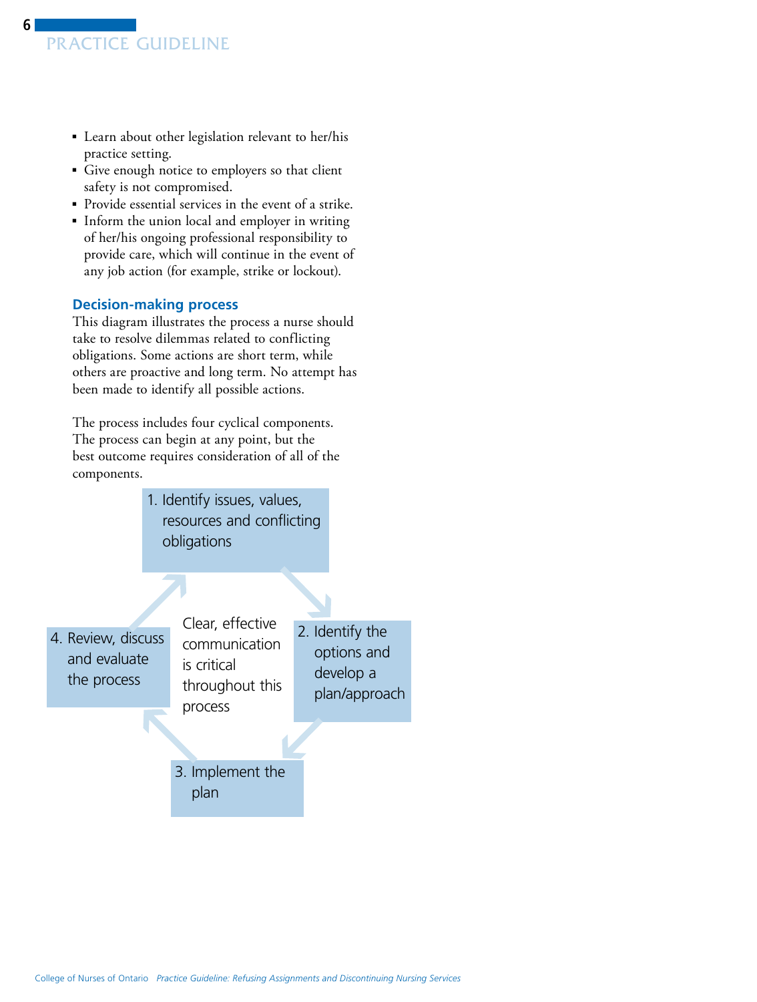- Learn about other legislation relevant to her/his practice setting.
- Give enough notice to employers so that client safety is not compromised.
- Provide essential services in the event of a strike.
- Inform the union local and employer in writing of her/his ongoing professional responsibility to provide care, which will continue in the event of any job action (for example, strike or lockout).

# **Decision-making process**

This diagram illustrates the process a nurse should take to resolve dilemmas related to conflicting obligations. Some actions are short term, while others are proactive and long term. No attempt has been made to identify all possible actions.

The process includes four cyclical components. The process can begin at any point, but the best outcome requires consideration of all of the components.

> 1. Identify issues, values, resources and conflicting obligations

4. Review, discuss and evaluate the process

Clear, effective communication is critical throughout this process

 2. Identify the options and develop a plan/approach

 3. Implement the plan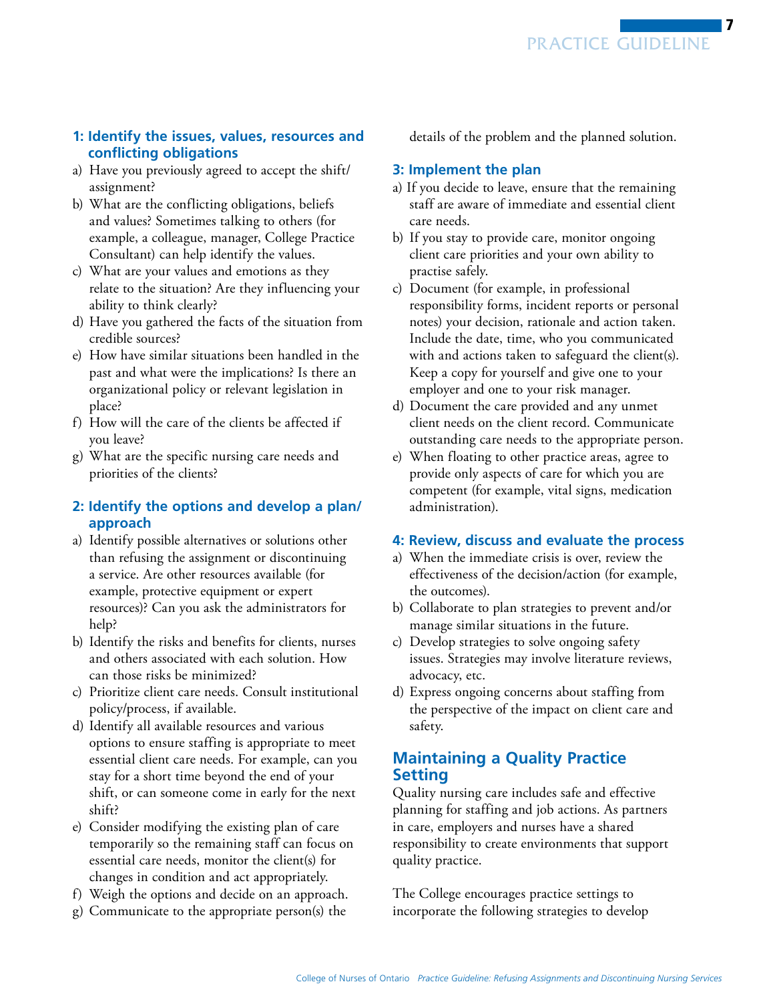# <span id="page-6-0"></span>**1: Identify the issues, values, resources and conflicting obligations**

- a) Have you previously agreed to accept the shift/ assignment?
- b) What are the conflicting obligations, beliefs and values? Sometimes talking to others (for example, a colleague, manager, College Practice Consultant) can help identify the values.
- c) What are your values and emotions as they relate to the situation? Are they influencing your ability to think clearly?
- d) Have you gathered the facts of the situation from credible sources?
- e) How have similar situations been handled in the past and what were the implications? Is there an organizational policy or relevant legislation in place?
- f) How will the care of the clients be affected if you leave?
- g) What are the specific nursing care needs and priorities of the clients?

# **2: Identify the options and develop a plan/ approach**

- a) Identify possible alternatives or solutions other than refusing the assignment or discontinuing a service. Are other resources available (for example, protective equipment or expert resources)? Can you ask the administrators for help?
- b) Identify the risks and benefits for clients, nurses and others associated with each solution. How can those risks be minimized?
- c) Prioritize client care needs. Consult institutional policy/process, if available.
- d) Identify all available resources and various options to ensure staffing is appropriate to meet essential client care needs. For example, can you stay for a short time beyond the end of your shift, or can someone come in early for the next shift?
- e) Consider modifying the existing plan of care temporarily so the remaining staff can focus on essential care needs, monitor the client(s) for changes in condition and act appropriately.
- f) Weigh the options and decide on an approach.
- g) Communicate to the appropriate person(s) the

details of the problem and the planned solution.

# **3: Implement the plan**

- a) If you decide to leave, ensure that the remaining staff are aware of immediate and essential client care needs.
- b) If you stay to provide care, monitor ongoing client care priorities and your own ability to practise safely.
- c) Document (for example, in professional responsibility forms, incident reports or personal notes) your decision, rationale and action taken. Include the date, time, who you communicated with and actions taken to safeguard the client(s). Keep a copy for yourself and give one to your employer and one to your risk manager.
- d) Document the care provided and any unmet client needs on the client record. Communicate outstanding care needs to the appropriate person.
- e) When floating to other practice areas, agree to provide only aspects of care for which you are competent (for example, vital signs, medication administration).

# **4: Review, discuss and evaluate the process**

- a) When the immediate crisis is over, review the effectiveness of the decision/action (for example, the outcomes).
- b) Collaborate to plan strategies to prevent and/or manage similar situations in the future.
- c) Develop strategies to solve ongoing safety issues. Strategies may involve literature reviews, advocacy, etc.
- d) Express ongoing concerns about staffing from the perspective of the impact on client care and safety.

# **Maintaining a Quality Practice Setting**

Quality nursing care includes safe and effective planning for staffing and job actions. As partners in care, employers and nurses have a shared responsibility to create environments that support quality practice.

The College encourages practice settings to incorporate the following strategies to develop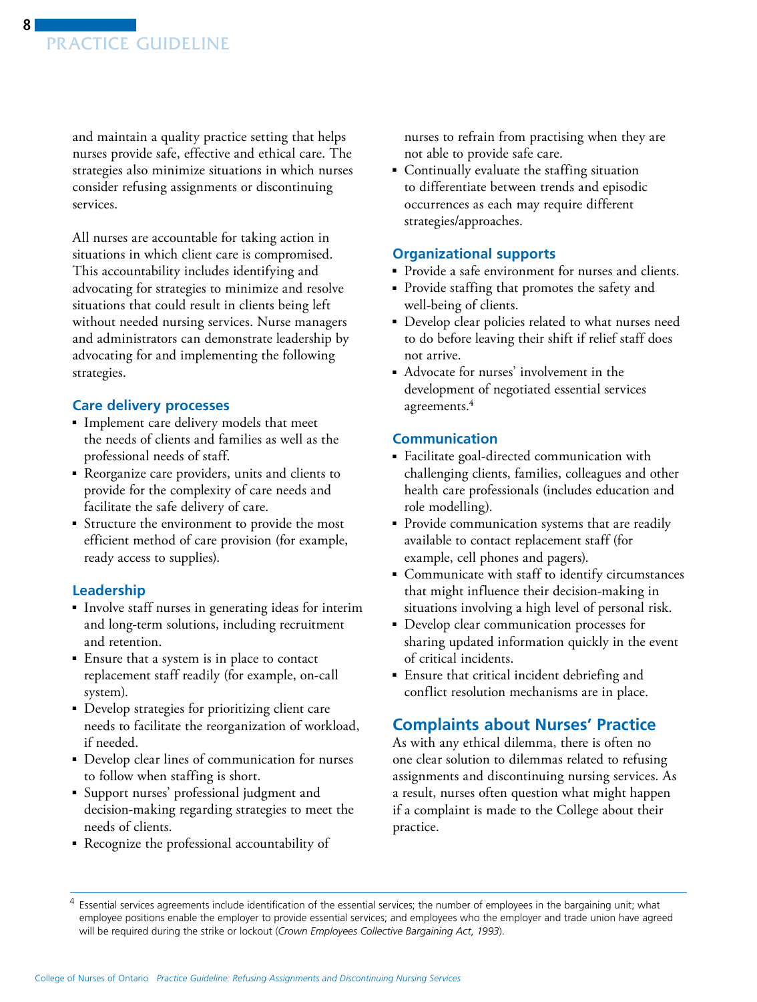<span id="page-7-0"></span>and maintain a quality practice setting that helps nurses provide safe, effective and ethical care. The strategies also minimize situations in which nurses consider refusing assignments or discontinuing services.

All nurses are accountable for taking action in situations in which client care is compromised. This accountability includes identifying and advocating for strategies to minimize and resolve situations that could result in clients being left without needed nursing services. Nurse managers and administrators can demonstrate leadership by advocating for and implementing the following strategies.

## **Care delivery processes**

- Implement care delivery models that meet the needs of clients and families as well as the professional needs of staff.
- Reorganize care providers, units and clients to provide for the complexity of care needs and facilitate the safe delivery of care.
- Structure the environment to provide the most efficient method of care provision (for example, ready access to supplies).

# **Leadership**

- Involve staff nurses in generating ideas for interim and long-term solutions, including recruitment and retention.
- Ensure that a system is in place to contact replacement staff readily (for example, on-call system).
- Develop strategies for prioritizing client care needs to facilitate the reorganization of workload, if needed.
- Develop clear lines of communication for nurses to follow when staffing is short.
- ■ Support nurses' professional judgment and decision-making regarding strategies to meet the needs of clients.
- ■ Recognize the professional accountability of

nurses to refrain from practising when they are not able to provide safe care.

■ Continually evaluate the staffing situation to differentiate between trends and episodic occurrences as each may require different strategies/approaches.

## **Organizational supports**

- Provide a safe environment for nurses and clients.
- ■ Provide staffing that promotes the safety and well-being of clients.
- Develop clear policies related to what nurses need to do before leaving their shift if relief staff does not arrive.
- Advocate for nurses' involvement in the development of negotiated essential services agreements.4

## **Communication**

- Facilitate goal-directed communication with challenging clients, families, colleagues and other health care professionals (includes education and role modelling).
- Provide communication systems that are readily available to contact replacement staff (for example, cell phones and pagers).
- Communicate with staff to identify circumstances that might influence their decision-making in situations involving a high level of personal risk.
- Develop clear communication processes for sharing updated information quickly in the event of critical incidents.
- Ensure that critical incident debriefing and conflict resolution mechanisms are in place.

# **Complaints about Nurses' Practice**

As with any ethical dilemma, there is often no one clear solution to dilemmas related to refusing assignments and discontinuing nursing services. As a result, nurses often question what might happen if a complaint is made to the College about their practice.

Essential services agreements include identification of the essential services; the number of employees in the bargaining unit; what employee positions enable the employer to provide essential services; and employees who the employer and trade union have agreed will be required during the strike or lockout (*Crown Employees Collective Bargaining Act*, *1993*).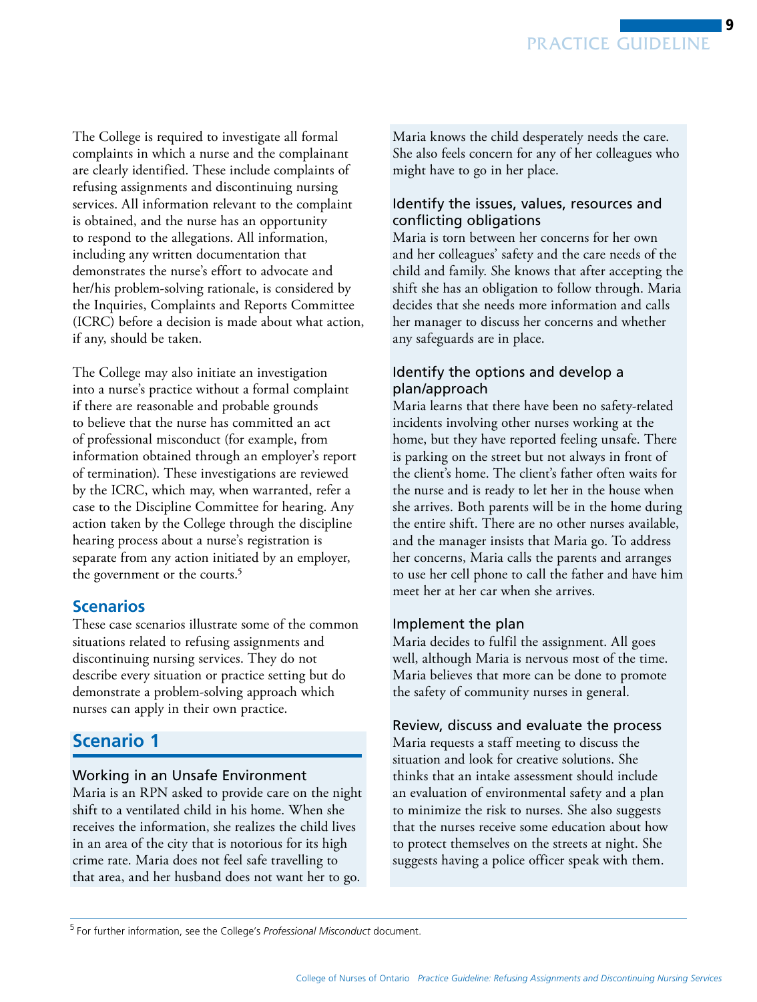<span id="page-8-0"></span>The College is required to investigate all formal complaints in which a nurse and the complainant are clearly identified. These include complaints of refusing assignments and discontinuing nursing services. All information relevant to the complaint is obtained, and the nurse has an opportunity to respond to the allegations. All information, including any written documentation that demonstrates the nurse's effort to advocate and her/his problem-solving rationale, is considered by the Inquiries, Complaints and Reports Committee (ICRC) before a decision is made about what action, if any, should be taken.

The College may also initiate an investigation into a nurse's practice without a formal complaint if there are reasonable and probable grounds to believe that the nurse has committed an act of professional misconduct (for example, from information obtained through an employer's report of termination). These investigations are reviewed by the ICRC, which may, when warranted, refer a case to the Discipline Committee for hearing. Any action taken by the College through the discipline hearing process about a nurse's registration is separate from any action initiated by an employer, the government or the courts.5

# **Scenarios**

These case scenarios illustrate some of the common situations related to refusing assignments and discontinuing nursing services. They do not describe every situation or practice setting but do demonstrate a problem-solving approach which nurses can apply in their own practice.

# **Scenario 1**

## Working in an Unsafe Environment

Maria is an RPN asked to provide care on the night shift to a ventilated child in his home. When she receives the information, she realizes the child lives in an area of the city that is notorious for its high crime rate. Maria does not feel safe travelling to that area, and her husband does not want her to go.

Maria knows the child desperately needs the care. She also feels concern for any of her colleagues who might have to go in her place.

## Identify the issues, values, resources and conflicting obligations

Maria is torn between her concerns for her own and her colleagues' safety and the care needs of the child and family. She knows that after accepting the shift she has an obligation to follow through. Maria decides that she needs more information and calls her manager to discuss her concerns and whether any safeguards are in place.

# Identify the options and develop a plan/approach

Maria learns that there have been no safety-related incidents involving other nurses working at the home, but they have reported feeling unsafe. There is parking on the street but not always in front of the client's home. The client's father often waits for the nurse and is ready to let her in the house when she arrives. Both parents will be in the home during the entire shift. There are no other nurses available, and the manager insists that Maria go. To address her concerns, Maria calls the parents and arranges to use her cell phone to call the father and have him meet her at her car when she arrives.

#### Implement the plan

Maria decides to fulfil the assignment. All goes well, although Maria is nervous most of the time. Maria believes that more can be done to promote the safety of community nurses in general.

#### Review, discuss and evaluate the process

Maria requests a staff meeting to discuss the situation and look for creative solutions. She thinks that an intake assessment should include an evaluation of environmental safety and a plan to minimize the risk to nurses. She also suggests that the nurses receive some education about how to protect themselves on the streets at night. She suggests having a police officer speak with them.

<sup>5</sup> For further information, see the College's *Professional Misconduct* document.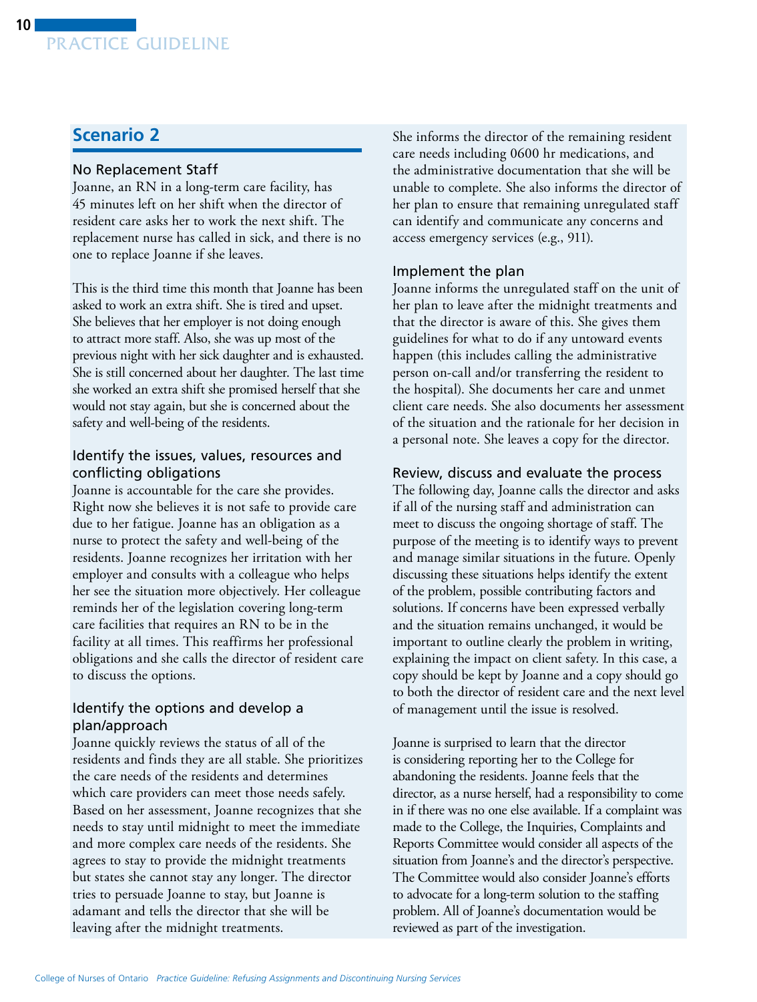# **Scenario 2**

#### No Replacement Staff

Joanne, an RN in a long-term care facility, has 45 minutes left on her shift when the director of resident care asks her to work the next shift. The replacement nurse has called in sick, and there is no one to replace Joanne if she leaves.

This is the third time this month that Joanne has been asked to work an extra shift. She is tired and upset. She believes that her employer is not doing enough to attract more staff. Also, she was up most of the previous night with her sick daughter and is exhausted. She is still concerned about her daughter. The last time she worked an extra shift she promised herself that she would not stay again, but she is concerned about the safety and well-being of the residents.

#### Identify the issues, values, resources and conflicting obligations

Joanne is accountable for the care she provides. Right now she believes it is not safe to provide care due to her fatigue. Joanne has an obligation as a nurse to protect the safety and well-being of the residents. Joanne recognizes her irritation with her employer and consults with a colleague who helps her see the situation more objectively. Her colleague reminds her of the legislation covering long-term care facilities that requires an RN to be in the facility at all times. This reaffirms her professional obligations and she calls the director of resident care to discuss the options.

#### Identify the options and develop a plan/approach

Joanne quickly reviews the status of all of the residents and finds they are all stable. She prioritizes the care needs of the residents and determines which care providers can meet those needs safely. Based on her assessment, Joanne recognizes that she needs to stay until midnight to meet the immediate and more complex care needs of the residents. She agrees to stay to provide the midnight treatments but states she cannot stay any longer. The director tries to persuade Joanne to stay, but Joanne is adamant and tells the director that she will be leaving after the midnight treatments.

She informs the director of the remaining resident care needs including 0600 hr medications, and the administrative documentation that she will be unable to complete. She also informs the director of her plan to ensure that remaining unregulated staff can identify and communicate any concerns and access emergency services (e.g., 911).

#### Implement the plan

Joanne informs the unregulated staff on the unit of her plan to leave after the midnight treatments and that the director is aware of this. She gives them guidelines for what to do if any untoward events happen (this includes calling the administrative person on-call and/or transferring the resident to the hospital). She documents her care and unmet client care needs. She also documents her assessment of the situation and the rationale for her decision in a personal note. She leaves a copy for the director.

#### Review, discuss and evaluate the process

The following day, Joanne calls the director and asks if all of the nursing staff and administration can meet to discuss the ongoing shortage of staff. The purpose of the meeting is to identify ways to prevent and manage similar situations in the future. Openly discussing these situations helps identify the extent of the problem, possible contributing factors and solutions. If concerns have been expressed verbally and the situation remains unchanged, it would be important to outline clearly the problem in writing, explaining the impact on client safety. In this case, a copy should be kept by Joanne and a copy should go to both the director of resident care and the next level of management until the issue is resolved.

Joanne is surprised to learn that the director is considering reporting her to the College for abandoning the residents. Joanne feels that the director, as a nurse herself, had a responsibility to come in if there was no one else available. If a complaint was made to the College, the Inquiries, Complaints and Reports Committee would consider all aspects of the situation from Joanne's and the director's perspective. The Committee would also consider Joanne's efforts to advocate for a long-term solution to the staffing problem. All of Joanne's documentation would be reviewed as part of the investigation.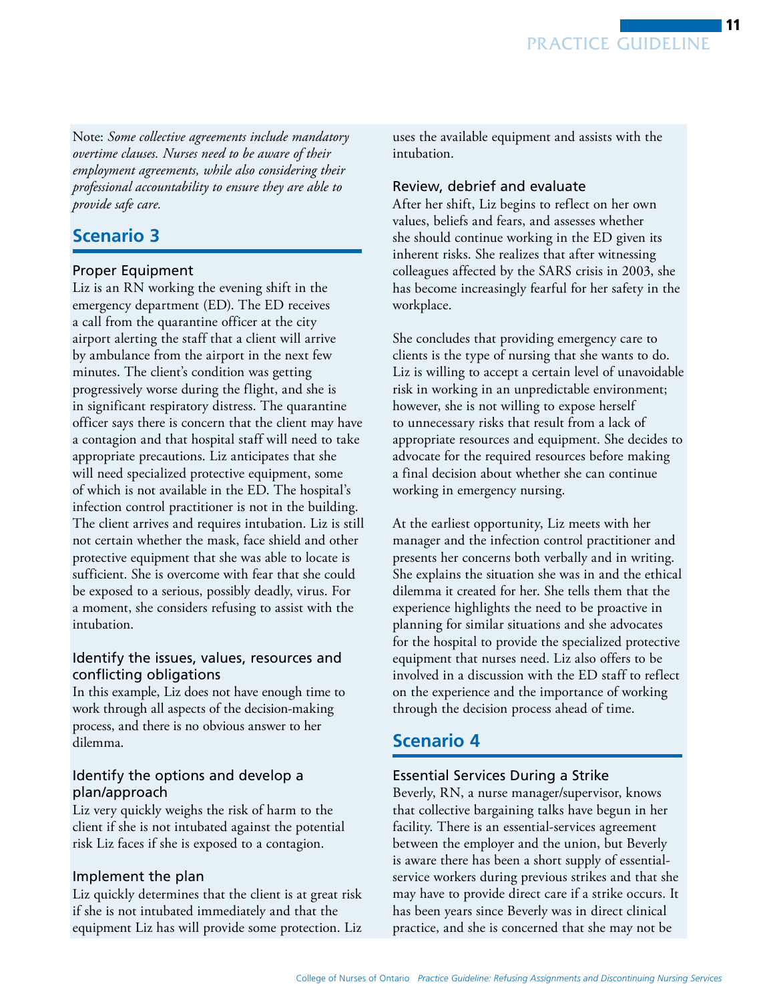Note: *Some collective agreements include mandatory overtime clauses. Nurses need to be aware of their employment agreements, while also considering their professional accountability to ensure they are able to provide safe care.* 

# **Scenario 3**

## Proper Equipment

Liz is an RN working the evening shift in the emergency department (ED). The ED receives a call from the quarantine officer at the city airport alerting the staff that a client will arrive by ambulance from the airport in the next few minutes. The client's condition was getting progressively worse during the flight, and she is in significant respiratory distress. The quarantine officer says there is concern that the client may have a contagion and that hospital staff will need to take appropriate precautions. Liz anticipates that she will need specialized protective equipment, some of which is not available in the ED. The hospital's infection control practitioner is not in the building. The client arrives and requires intubation. Liz is still not certain whether the mask, face shield and other protective equipment that she was able to locate is sufficient. She is overcome with fear that she could be exposed to a serious, possibly deadly, virus. For a moment, she considers refusing to assist with the intubation.

## Identify the issues, values, resources and conflicting obligations

In this example, Liz does not have enough time to work through all aspects of the decision-making process, and there is no obvious answer to her dilemma.

## Identify the options and develop a plan/approach

Liz very quickly weighs the risk of harm to the client if she is not intubated against the potential risk Liz faces if she is exposed to a contagion.

## Implement the plan

Liz quickly determines that the client is at great risk if she is not intubated immediately and that the equipment Liz has will provide some protection. Liz

uses the available equipment and assists with the intubation.

# Review, debrief and evaluate

After her shift, Liz begins to reflect on her own values, beliefs and fears, and assesses whether she should continue working in the ED given its inherent risks. She realizes that after witnessing colleagues affected by the SARS crisis in 2003, she has become increasingly fearful for her safety in the workplace.

She concludes that providing emergency care to clients is the type of nursing that she wants to do. Liz is willing to accept a certain level of unavoidable risk in working in an unpredictable environment; however, she is not willing to expose herself to unnecessary risks that result from a lack of appropriate resources and equipment. She decides to advocate for the required resources before making a final decision about whether she can continue working in emergency nursing.

At the earliest opportunity, Liz meets with her manager and the infection control practitioner and presents her concerns both verbally and in writing. She explains the situation she was in and the ethical dilemma it created for her. She tells them that the experience highlights the need to be proactive in planning for similar situations and she advocates for the hospital to provide the specialized protective equipment that nurses need. Liz also offers to be involved in a discussion with the ED staff to reflect on the experience and the importance of working through the decision process ahead of time.

# **Scenario 4**

## Essential Services During a Strike

Beverly, RN, a nurse manager/supervisor, knows that collective bargaining talks have begun in her facility. There is an essential-services agreement between the employer and the union, but Beverly is aware there has been a short supply of essentialservice workers during previous strikes and that she may have to provide direct care if a strike occurs. It has been years since Beverly was in direct clinical practice, and she is concerned that she may not be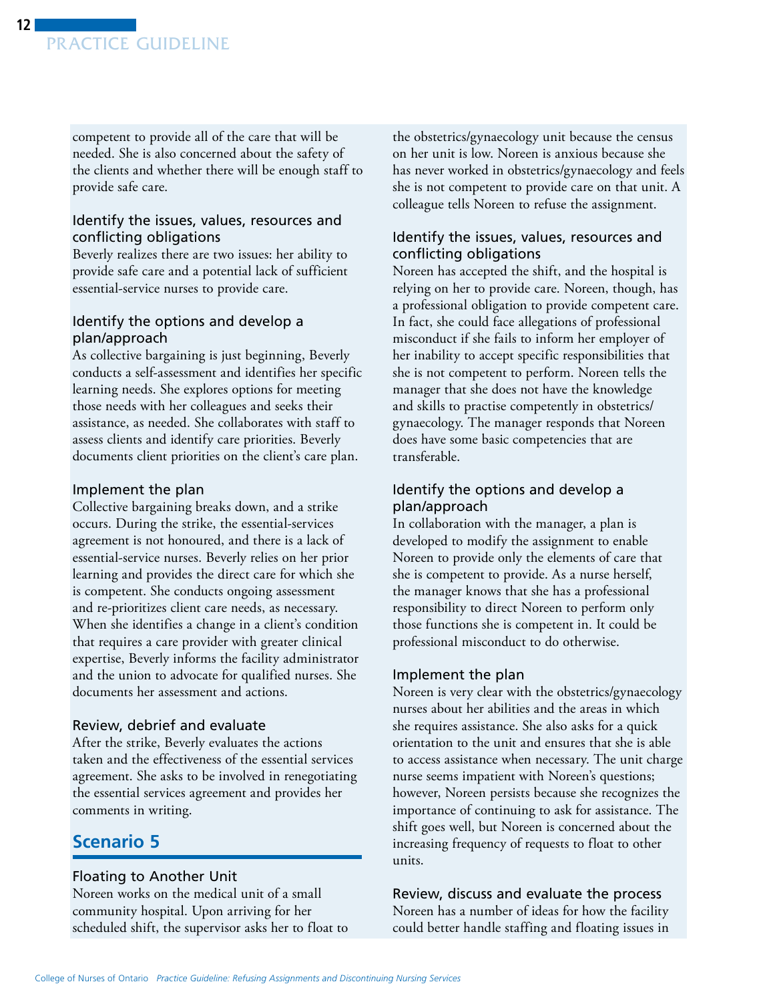competent to provide all of the care that will be needed. She is also concerned about the safety of the clients and whether there will be enough staff to provide safe care.

## Identify the issues, values, resources and conflicting obligations

Beverly realizes there are two issues: her ability to provide safe care and a potential lack of sufficient essential-service nurses to provide care.

# Identify the options and develop a plan/approach

As collective bargaining is just beginning, Beverly conducts a self-assessment and identifies her specific learning needs. She explores options for meeting those needs with her colleagues and seeks their assistance, as needed. She collaborates with staff to assess clients and identify care priorities. Beverly documents client priorities on the client's care plan.

## Implement the plan

Collective bargaining breaks down, and a strike occurs. During the strike, the essential-services agreement is not honoured, and there is a lack of essential-service nurses. Beverly relies on her prior learning and provides the direct care for which she is competent. She conducts ongoing assessment and re-prioritizes client care needs, as necessary. When she identifies a change in a client's condition that requires a care provider with greater clinical expertise, Beverly informs the facility administrator and the union to advocate for qualified nurses. She documents her assessment and actions.

## Review, debrief and evaluate

After the strike, Beverly evaluates the actions taken and the effectiveness of the essential services agreement. She asks to be involved in renegotiating the essential services agreement and provides her comments in writing.

# **Scenario 5**

# Floating to Another Unit

Noreen works on the medical unit of a small community hospital. Upon arriving for her scheduled shift, the supervisor asks her to float to the obstetrics/gynaecology unit because the census on her unit is low. Noreen is anxious because she has never worked in obstetrics/gynaecology and feels she is not competent to provide care on that unit. A colleague tells Noreen to refuse the assignment.

# Identify the issues, values, resources and conflicting obligations

Noreen has accepted the shift, and the hospital is relying on her to provide care. Noreen, though, has a professional obligation to provide competent care. In fact, she could face allegations of professional misconduct if she fails to inform her employer of her inability to accept specific responsibilities that she is not competent to perform. Noreen tells the manager that she does not have the knowledge and skills to practise competently in obstetrics/ gynaecology. The manager responds that Noreen does have some basic competencies that are transferable.

# Identify the options and develop a plan/approach

In collaboration with the manager, a plan is developed to modify the assignment to enable Noreen to provide only the elements of care that she is competent to provide. As a nurse herself, the manager knows that she has a professional responsibility to direct Noreen to perform only those functions she is competent in. It could be professional misconduct to do otherwise.

# Implement the plan

Noreen is very clear with the obstetrics/gynaecology nurses about her abilities and the areas in which she requires assistance. She also asks for a quick orientation to the unit and ensures that she is able to access assistance when necessary. The unit charge nurse seems impatient with Noreen's questions; however, Noreen persists because she recognizes the importance of continuing to ask for assistance. The shift goes well, but Noreen is concerned about the increasing frequency of requests to float to other units.

# Review, discuss and evaluate the process

Noreen has a number of ideas for how the facility could better handle staffing and floating issues in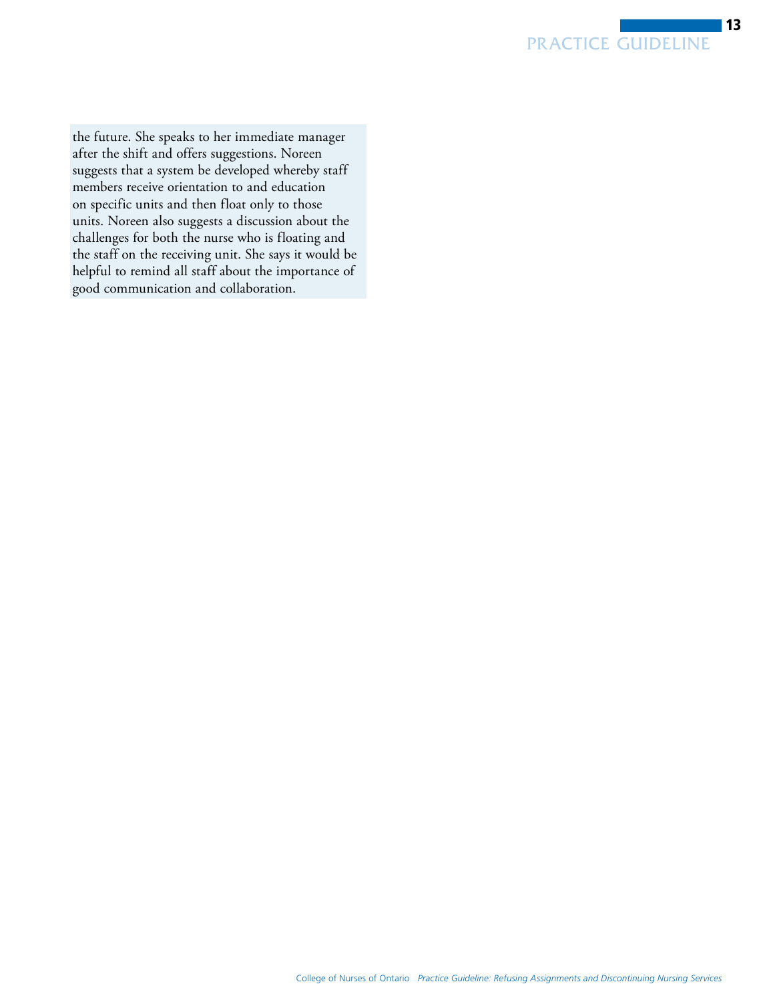the future. She speaks to her immediate manager after the shift and offers suggestions. Noreen suggests that a system be developed whereby staff members receive orientation to and education on specific units and then float only to those units. Noreen also suggests a discussion about the challenges for both the nurse who is floating and the staff on the receiving unit. She says it would be helpful to remind all staff about the importance of good communication and collaboration.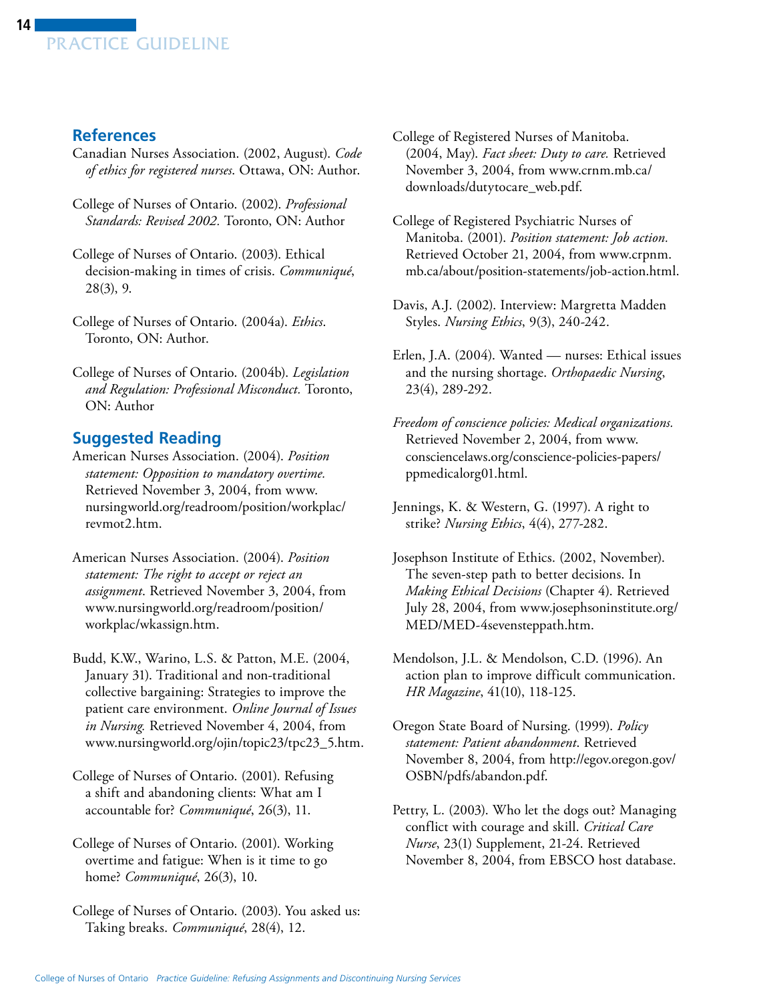# <span id="page-13-0"></span>**References**

- Canadian Nurses Association. (2002, August). *Code of ethics for registered nurses*. Ottawa, ON: Author.
- College of Nurses of Ontario. (2002). *Professional Standards: Revised 2002.* Toronto, ON: Author
- College of Nurses of Ontario. (2003). Ethical decision-making in times of crisis. *Communiqué*, 28(3), 9.
- College of Nurses of Ontario. (2004a). *Ethics*. Toronto, ON: Author.
- College of Nurses of Ontario. (2004b). *Legislation and Regulation: Professional Misconduct.* Toronto, ON: Author

# **Suggested Reading**

- American Nurses Association. (2004). *Position statement: Opposition to mandatory overtime.*  Retrieved November 3, 2004, from [www.](http://www.nursingworld.org/readroom/position/workplac/revmot2.htm)  [nursingworld.org/readroom/position/workplac/](http://www.nursingworld.org/readroom/position/workplac/revmot2.htm)  [revmot2.htm.](http://www.nursingworld.org/readroom/position/workplac/revmot2.htm)
- American Nurses Association. (2004). *Position statement: The right to accept or reject an assignment*. Retrieved November 3, 2004, from www.nursingworld.org/readroom/position/ [workplac/wkassign.htm.](http://www.nursingworld.org/readroom/position/workplac/wkassign.htm)
- Budd, K.W., Warino, L.S. & Patton, M.E. (2004, January 31). Traditional and non-traditional collective bargaining: Strategies to improve the patient care environment. *Online Journal of Issues in Nursing.* Retrieved November 4, 2004, from www.nursingworld.org/ojin/topic23/tpc23\_5.htm.
- College of Nurses of Ontario. (2001). Refusing a shift and abandoning clients: What am I accountable for? *Communiqué*, 26(3), 11.
- College of Nurses of Ontario. (2001). Working overtime and fatigue: When is it time to go home? *Communiqué*, 26(3), 10.
- College of Nurses of Ontario. (2003). You asked us: Taking breaks. *Communiqué*, 28(4), 12.
- College of Registered Nurses of Manitoba. (2004, May). *Fact sheet: Duty to care.* Retrieved November 3, 2004, from www.crnm.mb.ca/ [downloads/dutytocare\\_web.pdf.](http://www.crnm.mb.ca/downloads/dutytocare_web.pdf)
- College of Registered Psychiatric Nurses of Manitoba. (2001). *Position statement: Job action.*  Retrieved October 21, 2004, from www.crpnm. [mb.ca/about/position-statements/job-action.html.](http://www.crpnm.mb.ca/about/position-statements/job-action.html)
- Davis, A.J. (2002). Interview: Margretta Madden Styles. *Nursing Ethics*, 9(3), 240-242.
- Erlen, J.A. (2004). Wanted nurses: Ethical issues and the nursing shortage. *Orthopaedic Nursing*, 23(4), 289-292.
- *Freedom of conscience policies: Medical organizations.*  Retrieved November 2, 2004, from [www.](http://www.consciencelaws.org/conscience-policies-papers/ppmedicalorg01.html) [consciencelaws.org/conscience-policies-papers/](www.consciencelaws.org/conscience-policies-papers/ppmedicalorg01.html)  [ppmedicalorg01.html.](www.consciencelaws.org/conscience-policies-papers/ppmedicalorg01.html)
- Jennings, K. & Western, G. (1997). A right to strike? *Nursing Ethics*, 4(4), 277-282.
- Josephson Institute of Ethics. (2002, November). The seven-step path to better decisions. In *Making Ethical Decisions* (Chapter 4). Retrieved July 28, 2004, from www.josephsoninstitute.org/ [MED/MED-4sevensteppath.htm.](http://www.josephsoninstitute.org/MED/MED-4sevensteppath.htm)
- Mendolson, J.L. & Mendolson, C.D. (1996). An action plan to improve difficult communication. *HR Magazine*, 41(10), 118-125.
- Oregon State Board of Nursing. (1999). *Policy statement: Patient abandonment*. Retrieved November 8, 2004, from http://egov.oregon.gov/ [OSBN/pdfs/abandon.pdf.](http://egov.oregon.gov/OSBN/pdfs/abandon.pdf)
- Pettry, L. (2003). Who let the dogs out? Managing conflict with courage and skill. *Critical Care Nurse*, 23(1) Supplement, 21-24. Retrieved November 8, 2004, from EBSCO host database.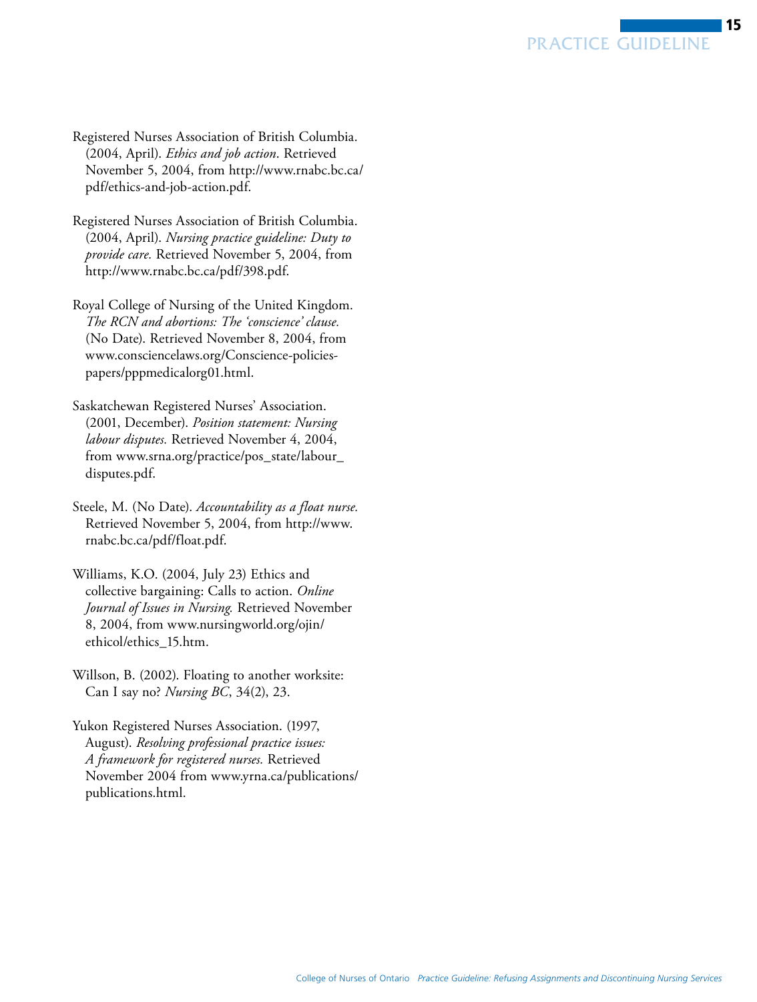- Registered Nurses Association of British Columbia. (2004, April). *Ethics and job action*. Retrieved November 5, 2004, from http://www.rnabc.bc.ca/ [pdf/ethics-and-job-action.pdf.](http://www.rnabc.bc.ca/pdf/ethics-and-job-action.pdf)
- Registered Nurses Association of British Columbia. (2004, April). *Nursing practice guideline: Duty to provide care.* Retrieved November 5, 2004, from http://www.rnabc.bc.ca/pdf/398.pdf.
- Royal College of Nursing of the United Kingdom. *The RCN and abortions: The 'conscience' clause.*  (No Date). Retrieved November 8, 2004, from www.consciencelaws.org/Conscience-policies[papers/pppmedicalorg01.html.](http://www.consciencelaws.org/Conscience-policies-papers/pppmedicalorg01.html.)
- Saskatchewan Registered Nurses' Association. (2001, December). *Position statement: Nursing labour disputes.* Retrieved November 4, 2004, from www.srna.org/practice/pos\_state/labour\_ [disputes.pdf.](http://www.srna.org/practice/pos_state/labour_disputes.pdf)
- Steele, M. (No Date). *Accountability as a float nurse.*  Retrieved November 5, 2004, from http://www. [rnabc.bc.ca/pdf/float.pdf.](http://www.rnabc.bc.ca/pdf/float.pdf)
- Williams, K.O. (2004, July 23) Ethics and collective bargaining: Calls to action. *Online Journal of Issues in Nursing.* Retrieved November 8, 2004, from www.nursingworld.org/ojin/ [ethicol/ethics\\_15.htm.](http://www.nursingworld.org/ojin/ethicol/ethics_15.htm)
- Willson, B. (2002). Floating to another worksite: Can I say no? *Nursing BC*, 34(2), 23.
- Yukon Registered Nurses Association. (1997, August). *Resolving professional practice issues: A framework for registered nurses.* Retrieved November 2004 from www.yrna.ca/publications/ [publications.html.](http://www.yrna.ca/publications/publications.html)